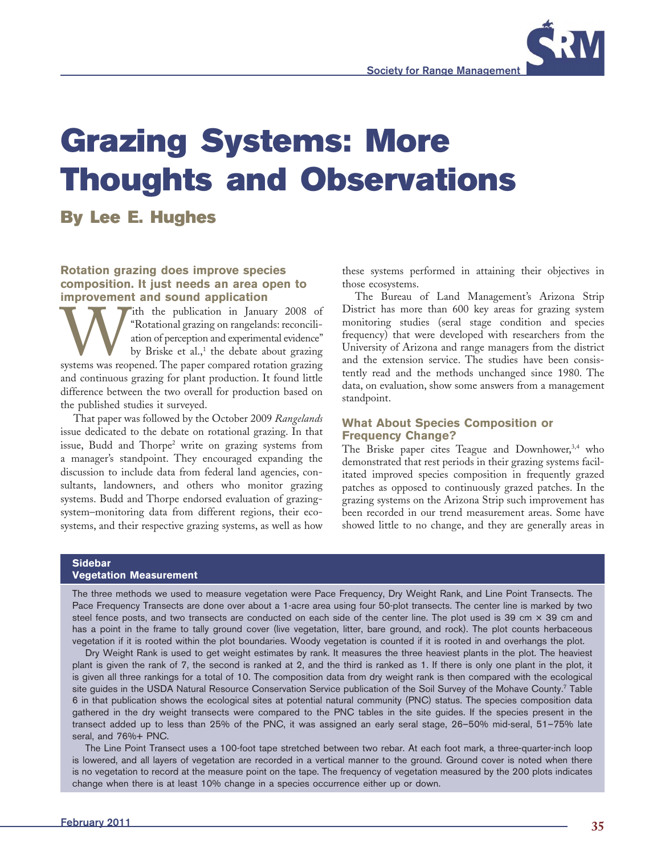

# **By Lee E. Hughes**

## **Rotation grazing does improve species composition. It just needs an area open to improvement and sound application**

W ith the publication in January 2008 of "Rotational grazing on rangelands: reconcili-<br>ation of perception and experimental evidence"<br>by Briske et al.,<sup>1</sup> the debate about grazing<br>systems was reopened. The paper compared r "Rotational grazing on rangelands: reconciliation of perception and experimental evidence" by Briske et al., $^1$  the debate about grazing and continuous grazing for plant production. It found little difference between the two overall for production based on the published studies it surveyed.

That paper was followed by the October 2009 *Rangelands* issue dedicated to the debate on rotational grazing. In that issue, Budd and Thorpe2 write on grazing systems from a manager's standpoint. They encouraged expanding the discussion to include data from federal land agencies, consultants, landowners, and others who monitor grazing systems. Budd and Thorpe endorsed evaluation of grazingsystem–monitoring data from different regions, their ecosystems, and their respective grazing systems, as well as how

these systems performed in attaining their objectives in those ecosystems.

The Bureau of Land Management's Arizona Strip District has more than 600 key areas for grazing system monitoring studies (seral stage condition and species frequency) that were developed with researchers from the University of Arizona and range managers from the district and the extension service. The studies have been consistently read and the methods unchanged since 1980. The data, on evaluation, show some answers from a management standpoint.

### **What About Species Composition or Frequency Change?**

The Briske paper cites Teague and Downhower,<sup>3,4</sup> who demonstrated that rest periods in their grazing systems facilitated improved species composition in frequently grazed patches as opposed to continuously grazed patches. In the grazing systems on the Arizona Strip such improvement has been recorded in our trend measurement areas. Some have showed little to no change, and they are generally areas in

#### **Sidebar**

#### **Vegetation Measurement**

The three methods we used to measure vegetation were Pace Frequency, Dry Weight Rank, and Line Point Transects. The Pace Frequency Transects are done over about a 1-acre area using four 50-plot transects. The center line is marked by two steel fence posts, and two transects are conducted on each side of the center line. The plot used is 39 cm  $\times$  39 cm and has a point in the frame to tally ground cover (live vegetation, litter, bare ground, and rock). The plot counts herbaceous vegetation if it is rooted within the plot boundaries. Woody vegetation is counted if it is rooted in and overhangs the plot.

Dry Weight Rank is used to get weight estimates by rank. It measures the three heaviest plants in the plot. The heaviest plant is given the rank of 7, the second is ranked at 2, and the third is ranked as 1. If there is only one plant in the plot, it is given all three rankings for a total of 10. The composition data from dry weight rank is then compared with the ecological site guides in the USDA Natural Resource Conservation Service publication of the Soil Survey of the Mohave County.<sup>7</sup> Table 6 in that publication shows the ecological sites at potential natural community (PNC) status. The species composition data gathered in the dry weight transects were compared to the PNC tables in the site guides. If the species present in the transect added up to less than 25% of the PNC, it was assigned an early seral stage, 26–50% mid-seral, 51–75% late seral, and 76%+ PNC.

The Line Point Transect uses a 100-foot tape stretched between two rebar. At each foot mark, a three-quarter-inch loop is lowered, and all layers of vegetation are recorded in a vertical manner to the ground. Ground cover is noted when there is no vegetation to record at the measure point on the tape. The frequency of vegetation measured by the 200 plots indicates change when there is at least 10% change in a species occurrence either up or down.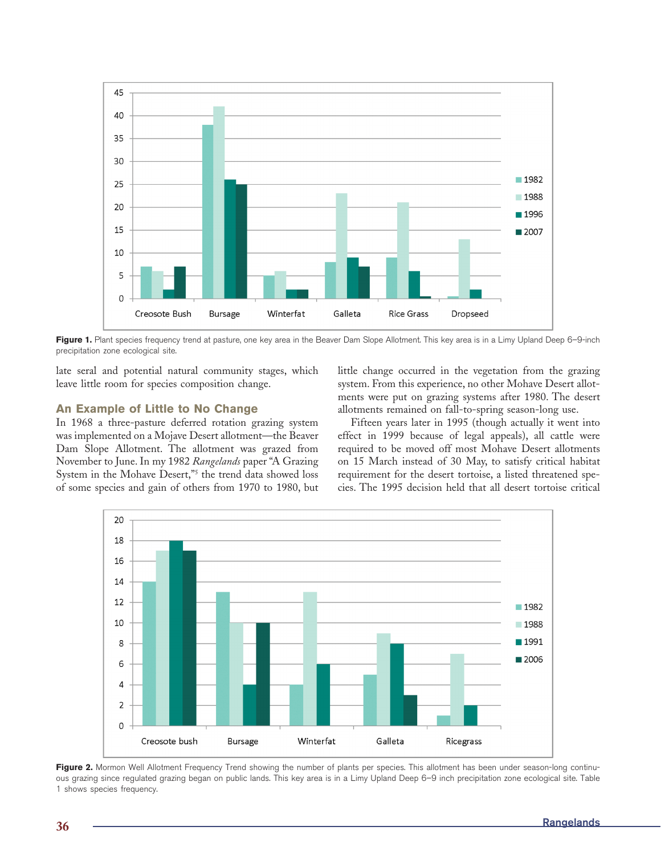

Figure 1. Plant species frequency trend at pasture, one key area in the Beaver Dam Slope Allotment. This key area is in a Limy Upland Deep 6-9-inch precipitation zone ecological site.

late seral and potential natural community stages, which leave little room for species composition change.

## **An Example of Little to No Change**

In 1968 a three-pasture deferred rotation grazing system was implemented on a Mojave Desert allotment—the Beaver Dam Slope Allotment. The allotment was grazed from November to June. In my 1982 *Rangelands* paper "A Grazing System in the Mohave Desert,"<sup>5</sup> the trend data showed loss of some species and gain of others from 1970 to 1980, but

little change occurred in the vegetation from the grazing system. From this experience, no other Mohave Desert allotments were put on grazing systems after 1980. The desert allotments remained on fall-to-spring season-long use.

Fifteen years later in 1995 (though actually it went into effect in 1999 because of legal appeals), all cattle were required to be moved off most Mohave Desert allotments on 15 March instead of 30 May, to satisfy critical habitat requirement for the desert tortoise, a listed threatened species. The 1995 decision held that all desert tortoise critical



Figure 2. Mormon Well Allotment Frequency Trend showing the number of plants per species. This allotment has been under season-long continuous grazing since regulated grazing began on public lands. This key area is in a Limy Upland Deep 6–9 inch precipitation zone ecological site. Table 1 shows species frequency.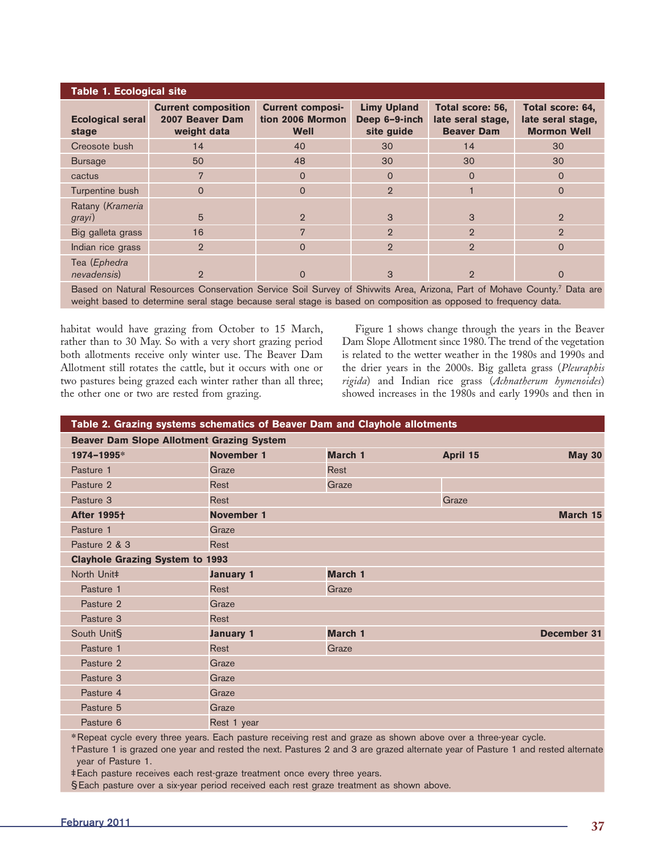| <b>Table 1. Ecological site</b>                                                                                      |                                                              |                                                     |                                                   |                                                            |                                                             |  |  |  |  |
|----------------------------------------------------------------------------------------------------------------------|--------------------------------------------------------------|-----------------------------------------------------|---------------------------------------------------|------------------------------------------------------------|-------------------------------------------------------------|--|--|--|--|
| <b>Ecological seral</b><br>stage                                                                                     | <b>Current composition</b><br>2007 Beaver Dam<br>weight data | <b>Current composi-</b><br>tion 2006 Mormon<br>Well | <b>Limy Upland</b><br>Deep 6-9-inch<br>site guide | Total score: 56,<br>late seral stage,<br><b>Beaver Dam</b> | Total score: 64,<br>late seral stage,<br><b>Mormon Well</b> |  |  |  |  |
| Creosote bush                                                                                                        | 14                                                           | 40                                                  | 30                                                | 14                                                         | 30                                                          |  |  |  |  |
| <b>Bursage</b>                                                                                                       | 50                                                           | 48                                                  | 30                                                | 30                                                         | 30                                                          |  |  |  |  |
| cactus                                                                                                               | 7                                                            | $\Omega$                                            | $\Omega$                                          | $\Omega$                                                   | $\Omega$                                                    |  |  |  |  |
| Turpentine bush                                                                                                      | $\Omega$                                                     | $\Omega$                                            | $\overline{2}$                                    |                                                            | $\Omega$                                                    |  |  |  |  |
| Ratany (Krameria<br>grayi)                                                                                           | 5                                                            | $\overline{2}$                                      | 3                                                 | 3                                                          | $\overline{2}$                                              |  |  |  |  |
| Big galleta grass                                                                                                    | 16                                                           | 7                                                   | $\overline{2}$                                    | $\overline{2}$                                             | $\overline{2}$                                              |  |  |  |  |
| Indian rice grass                                                                                                    | $\overline{2}$                                               | $\Omega$                                            | $\overline{2}$                                    | $\overline{2}$                                             | $\Omega$                                                    |  |  |  |  |
| Tea (Ephedra<br>nevadensis)                                                                                          | $\overline{2}$                                               | $\Omega$                                            | 3                                                 | $\overline{2}$                                             | $\Omega$                                                    |  |  |  |  |
| Based on Natural Resources Conservation Service Soil Survey of Shivwits Area Arizona Part of Mohave County? Data are |                                                              |                                                     |                                                   |                                                            |                                                             |  |  |  |  |

Area, Arizona, Fart of Mohave weight based to determine seral stage because seral stage is based on composition as opposed to frequency data.

habitat would have grazing from October to 15 March, rather than to 30 May. So with a very short grazing period both allotments receive only winter use. The Beaver Dam Allotment still rotates the cattle, but it occurs with one or two pastures being grazed each winter rather than all three; the other one or two are rested from grazing.

Figure 1 shows change through the years in the Beaver Dam Slope Allotment since 1980. The trend of the vegetation is related to the wetter weather in the 1980s and 1990s and the drier years in the 2000s. Big galleta grass (*Pleuraphis rigida*) and Indian rice grass (*Achnatherum hymenoides*) showed increases in the 1980s and early 1990s and then in

| Table 2. Grazing systems schematics of Beaver Dam and Clayhole allotments |                   |                |          |               |  |  |  |
|---------------------------------------------------------------------------|-------------------|----------------|----------|---------------|--|--|--|
| <b>Beaver Dam Slope Allotment Grazing System</b>                          |                   |                |          |               |  |  |  |
| 1974-1995*                                                                | <b>November 1</b> | March 1        | April 15 | <b>May 30</b> |  |  |  |
| Pasture 1                                                                 | Graze             | <b>Rest</b>    |          |               |  |  |  |
| Pasture 2                                                                 | <b>Rest</b>       | Graze          |          |               |  |  |  |
| Pasture 3                                                                 | <b>Rest</b>       |                | Graze    |               |  |  |  |
| <b>After 1995†</b>                                                        | <b>November 1</b> |                |          | March 15      |  |  |  |
| Pasture 1                                                                 | Graze             |                |          |               |  |  |  |
| Pasture 2 & 3                                                             | Rest              |                |          |               |  |  |  |
| <b>Clayhole Grazing System to 1993</b>                                    |                   |                |          |               |  |  |  |
| North Unit‡                                                               | <b>January 1</b>  | March 1        |          |               |  |  |  |
| Pasture 1                                                                 | Rest              | Graze          |          |               |  |  |  |
| Pasture 2                                                                 | Graze             |                |          |               |  |  |  |
| Pasture 3                                                                 | Rest              |                |          |               |  |  |  |
| South Unit§                                                               | <b>January 1</b>  | <b>March 1</b> |          | December 31   |  |  |  |
| Pasture 1                                                                 | Rest              | Graze          |          |               |  |  |  |
| Pasture 2                                                                 | Graze             |                |          |               |  |  |  |
| Pasture 3                                                                 | Graze             |                |          |               |  |  |  |
| Pasture 4                                                                 | Graze             |                |          |               |  |  |  |
| Pasture 5                                                                 | Graze             |                |          |               |  |  |  |
| Pasture 6                                                                 | Rest 1 year       |                |          |               |  |  |  |
|                                                                           |                   |                |          |               |  |  |  |

**\*** Repeat cycle every three years. Each pasture receiving rest and graze as shown above over a three-year cycle.

† Pasture 1 is grazed one year and rested the next. Pastures 2 and 3 are grazed alternate year of Pasture 1 and rested alternate year of Pasture 1.

‡ Each pasture receives each rest-graze treatment once every three years.

§ Each pasture over a six-year period received each rest graze treatment as shown above.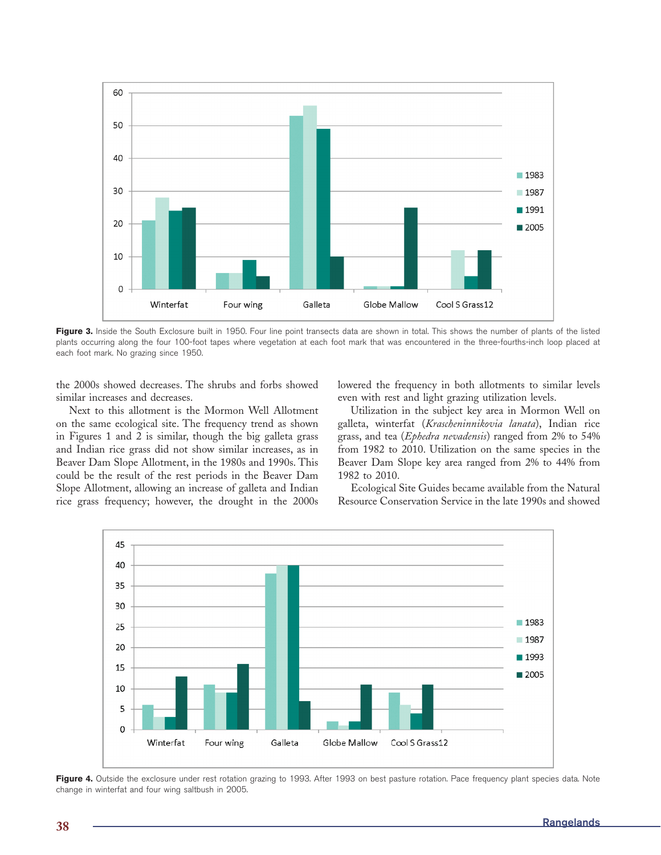

Figure 3. Inside the South Exclosure built in 1950. Four line point transects data are shown in total. This shows the number of plants of the listed plants occurring along the four 100-foot tapes where vegetation at each foot mark that was encountered in the three-fourths-inch loop placed at each foot mark. No grazing since 1950.

the 2000s showed decreases. The shrubs and forbs showed similar increases and decreases.

Next to this allotment is the Mormon Well Allotment on the same ecological site. The frequency trend as shown in Figures 1 and 2 is similar, though the big galleta grass and Indian rice grass did not show similar increases, as in Beaver Dam Slope Allotment, in the 1980s and 1990s. This could be the result of the rest periods in the Beaver Dam Slope Allotment, allowing an increase of galleta and Indian rice grass frequency; however, the drought in the 2000s

lowered the frequency in both allotments to similar levels even with rest and light grazing utilization levels.

Utilization in the subject key area in Mormon Well on galleta, winterfat (*Krascheninnikovia lanata*), Indian rice grass, and tea (*Ephedra nevadensis*) ranged from 2% to 54% from 1982 to 2010. Utilization on the same species in the Beaver Dam Slope key area ranged from 2% to 44% from 1982 to 2010.

Ecological Site Guides became available from the Natural Resource Conservation Service in the late 1990s and showed



Figure 4. Outside the exclosure under rest rotation grazing to 1993. After 1993 on best pasture rotation. Pace frequency plant species data. Note change in winterfat and four wing saltbush in 2005.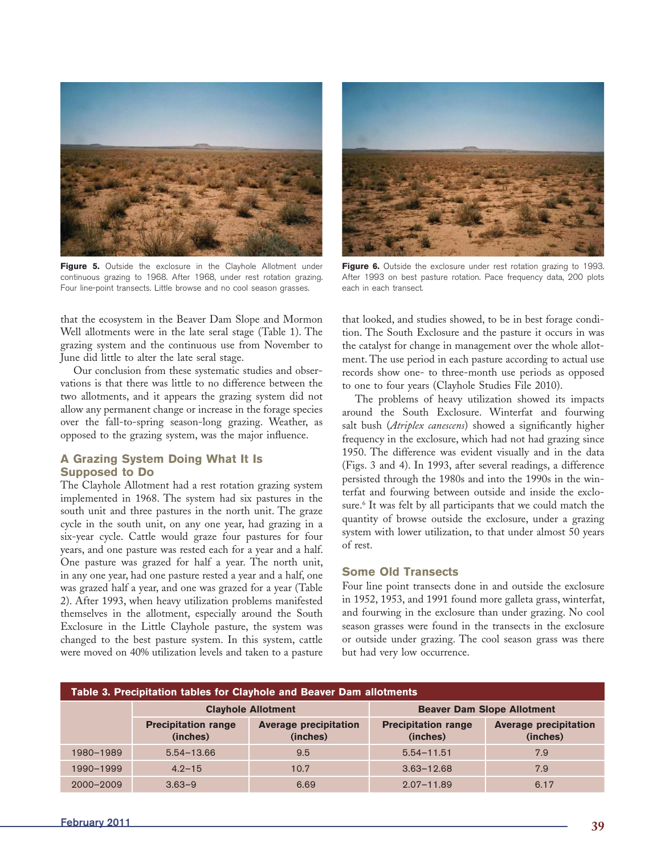

**Figure 5.** Outside the exclosure in the Clayhole Allotment under continuous grazing to 1968. After 1968, under rest rotation grazing. Four line-point transects. Little browse and no cool season grasses.

that the ecosystem in the Beaver Dam Slope and Mormon Well allotments were in the late seral stage (Table 1). The grazing system and the continuous use from November to June did little to alter the late seral stage.

Our conclusion from these systematic studies and observations is that there was little to no difference between the two allotments, and it appears the grazing system did not allow any permanent change or increase in the forage species over the fall-to-spring season-long grazing. Weather, as opposed to the grazing system, was the major influence.

# **A Grazing System Doing What It Is Supposed to Do**

The Clayhole Allotment had a rest rotation grazing system implemented in 1968. The system had six pastures in the south unit and three pastures in the north unit. The graze cycle in the south unit, on any one year, had grazing in a six-year cycle. Cattle would graze four pastures for four years, and one pasture was rested each for a year and a half. One pasture was grazed for half a year. The north unit, in any one year, had one pasture rested a year and a half, one was grazed half a year, and one was grazed for a year (Table 2). After 1993, when heavy utilization problems manifested themselves in the allotment, especially around the South Exclosure in the Little Clayhole pasture, the system was changed to the best pasture system. In this system, cattle were moved on 40% utilization levels and taken to a pasture



**Figure 6.** Outside the exclosure under rest rotation grazing to 1993. After 1993 on best pasture rotation. Pace frequency data, 200 plots each in each transect.

that looked, and studies showed, to be in best forage condition. The South Exclosure and the pasture it occurs in was the catalyst for change in management over the whole allotment. The use period in each pasture according to actual use records show one- to three-month use periods as opposed to one to four years (Clayhole Studies File 2010).

The problems of heavy utilization showed its impacts around the South Exclosure. Winterfat and fourwing salt bush (*Atriplex canescens*) showed a significantly higher frequency in the exclosure, which had not had grazing since 1950. The difference was evident visually and in the data (Figs. 3 and 4). In 1993, after several readings, a difference persisted through the 1980s and into the 1990s in the winterfat and fourwing between outside and inside the exclosure.6 It was felt by all participants that we could match the quantity of browse outside the exclosure, under a grazing system with lower utilization, to that under almost 50 years of rest.

#### **Some Old Transects**

Four line point transects done in and outside the exclosure in 1952, 1953, and 1991 found more galleta grass, winterfat, and fourwing in the exclosure than under grazing. No cool season grasses were found in the transects in the exclosure or outside under grazing. The cool season grass was there but had very low occurrence.

| Table 3. Precipitation tables for Clayhole and Beaver Dam allotments |                                        |                                          |                                        |                                          |  |  |  |  |  |  |
|----------------------------------------------------------------------|----------------------------------------|------------------------------------------|----------------------------------------|------------------------------------------|--|--|--|--|--|--|
|                                                                      |                                        | <b>Clayhole Allotment</b>                | <b>Beaver Dam Slope Allotment</b>      |                                          |  |  |  |  |  |  |
|                                                                      | <b>Precipitation range</b><br>(inches) | <b>Average precipitation</b><br>(inches) | <b>Precipitation range</b><br>(inches) | <b>Average precipitation</b><br>(inches) |  |  |  |  |  |  |
| 1980-1989                                                            | $5.54 - 13.66$                         | 9.5                                      | $5.54 - 11.51$                         | 7.9                                      |  |  |  |  |  |  |
| 1990-1999                                                            | $4.2 - 15$                             | 10.7                                     | $3.63 - 12.68$                         | 7.9                                      |  |  |  |  |  |  |
| 2000-2009                                                            | $3.63 - 9$                             | 6.69                                     | $2.07 - 11.89$                         | 6.17                                     |  |  |  |  |  |  |